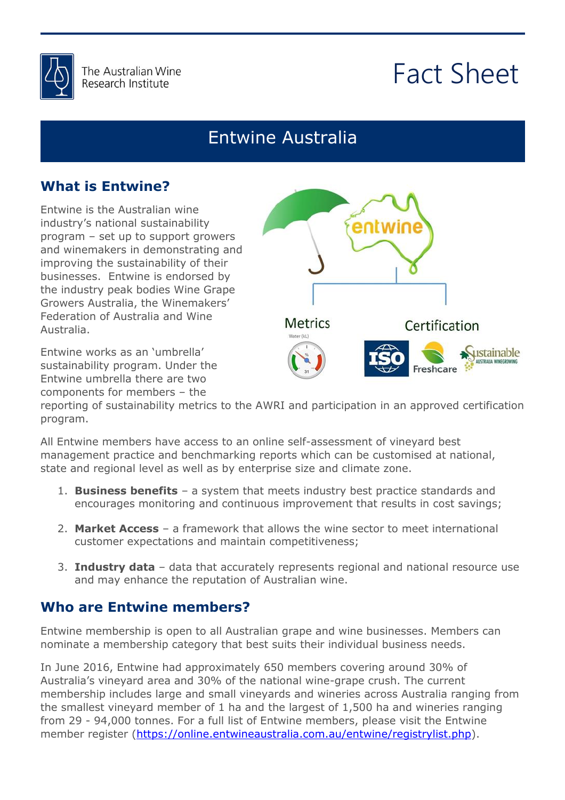

# Fact Sheet

### Entwine Australia

### **What is Entwine?**

Entwine is the Australian wine industry's national sustainability program – set up to support growers and winemakers in demonstrating and improving the sustainability of their businesses. Entwine is endorsed by the industry peak bodies Wine Grape Growers Australia, the Winemakers' Federation of Australia and Wine Australia.

Entwine works as an 'umbrella' sustainability program. Under the Entwine umbrella there are two components for members – the



is anything else reporting of sustainability metrics to the AWRI and participation in an approved certification program.

management practice and benchmarking reports which can be customised at national,<br>state and regional level as well as by enterprise size and climate zone. All Entwine members have access to an online self-assessment of vineyard best state and regional level as well as by enterprise size and climate zone.

- **Business benefits** a system that meets industry best practice standards and<br>encourages monitoring and continuous improvement that results in cost savings; 1. **Business benefits** – a system that meets industry best practice standards and
- 2. Market Access a framework that allows the wine sector to meet international customer expectations and maintain competitiveness; customer expectations and maintain competitiveness;
- 3. **Industry data** data that accurately represents regional and national resource use and may enhance the reputation of Australian wine. and may enhance the reputation of Australian wine.

#### **Who are Entwine members?**

know. Entwine membership is open to all Australian grape and wine businesses. Members can nominate a membership category that best suits their individual business needs.

In June 2016, Entwine had approximately 650 members covering around 30% of Australia's vineyard area and 30% of the national wine-grape crush. The current membership includes large and small vineyards and wineries across Australia ranging from the smallest vineyard member of 1 ha and the largest of 1,500 ha and wineries ranging from 29 - 94,000 tonnes. For a full list of Entwine members, please visit the Entwine member register [\(https://online.entwineaustralia.com.au/entwine/registrylist.php\)](https://online.entwineaustralia.com.au/entwine/registrylist.php).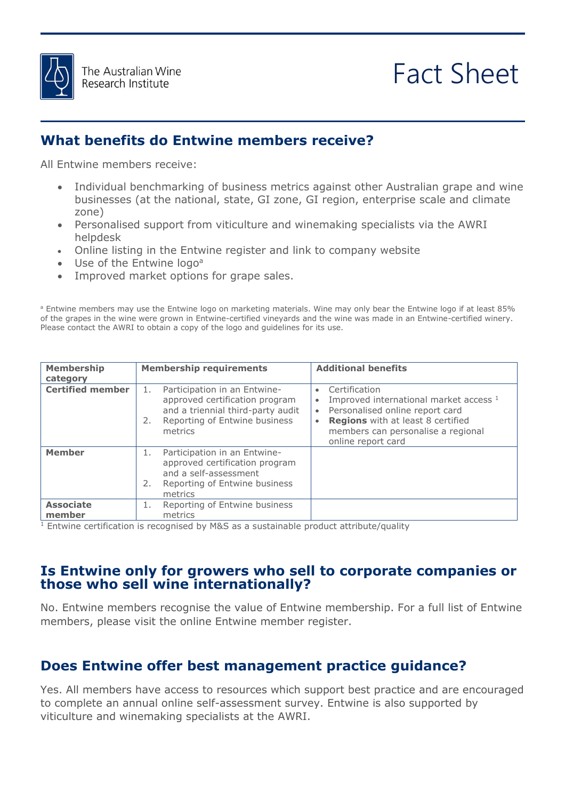

# Fact Sheet

#### **What benefits do Entwine members receive?**

All Entwine members receive:

- Individual benchmarking of business metrics against other Australian grape and wine businesses (at the national, state, GI zone, GI region, enterprise scale and climate zone)
- Personalised support from viticulture and winemaking specialists via the AWRI helpdesk
- Online listing in the Entwine register and link to company website
- Use of the Entwine logo<sup>a</sup>
- Improved market options for grape sales.

r the Entwine logo if at least 85%<br>le in an Entwine-certified winery. <sup>a</sup> Entwine members may use the Entwine logo on marketing materials. Wine may only bear the Entwine logo if at least 85% of the grapes in the wine were grown in Entwine-certified vineyards and the wine was made in an Entwine-certified winery. Please contact the AWRI to obtain a copy of the logo and guidelines for its use.

| <b>Membership</b><br>category | <b>Membership requirements</b>                                                                                                                              | <b>Additional benefits</b>                                                                                                                                                                                                                             |
|-------------------------------|-------------------------------------------------------------------------------------------------------------------------------------------------------------|--------------------------------------------------------------------------------------------------------------------------------------------------------------------------------------------------------------------------------------------------------|
| <b>Certified member</b>       | Participation in an Entwine-<br>1.<br>approved certification program<br>and a triennial third-party audit<br>Reporting of Entwine business<br>2.<br>metrics | Certification<br>$\bullet$<br>Improved international market access 1<br>$\bullet$<br>Personalised online report card<br>$\bullet$<br><b>Regions</b> with at least 8 certified<br>$\bullet$<br>members can personalise a regional<br>online report card |
| <b>Member</b>                 | Participation in an Entwine-<br>1.<br>approved certification program<br>and a self-assessment<br>2.<br>Reporting of Entwine business<br>metrics             |                                                                                                                                                                                                                                                        |
| <b>Associate</b><br>member    | Reporting of Entwine business<br>1.<br>metrics                                                                                                              |                                                                                                                                                                                                                                                        |

roduct attribute/quality<br>
example:<br>  $\frac{1}{2}$  $1$  Entwine certification is recognised by M&S as a sustainable product attribute/quality

#### Is Entwine only for growers who sell to corporate companies or<br>those who sell wine internationally? **those who sell wine internationally?**

No. Entwine members recognise the value of Entwine membership. For a full list of Entwine members, please visit the online Entwine member register. members, please visit the online Entwine member register.

#### **Does Entwine offer best management practice guidance?**

Yes. All members have access to resources which support best practice and are encouraged to complete an annual online self-assessment survey. Entwine is also supported by viticulture and winemaking specialists at the AWRI.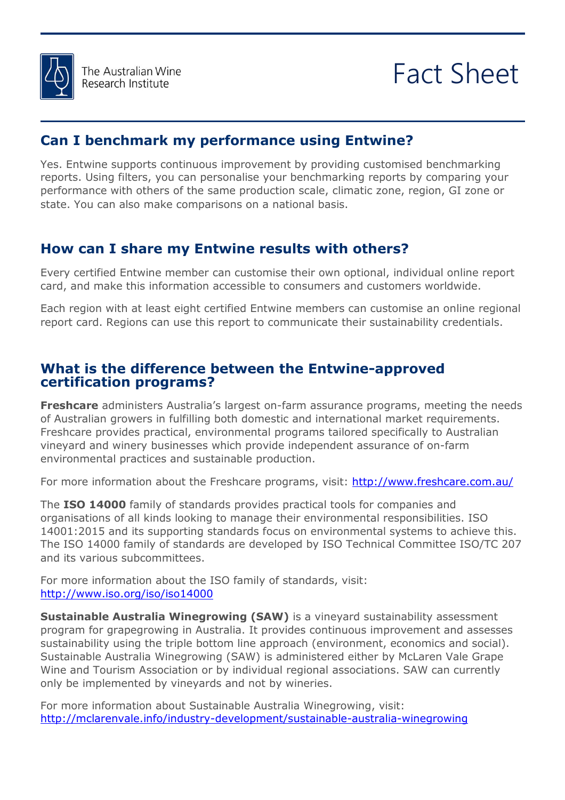

## Fact Sheet

#### **Can I benchmark my performance using Entwine?**

Yes. Entwine supports continuous improvement by providing customised benchmarking reports. Using filters, you can personalise your benchmarking reports by comparing your performance with others of the same production scale, climatic zone, region, GI zone or state. You can also make comparisons on a national basis.

### **How can I share my Entwine results with others?**

Every certified Entwine member can customise their own optional, individual online report card, and make this information accessible to consumers and customers worldwide.

Each region with at least eight certified Entwine members can customise an online regional<br>report card. Regions can use this report to communicate their sustainability credentials. report card. Regions can use this report to communicate their sustainability credentials.

#### attached signed  $T_{\rm eff}$  for  $T_{\rm eff}$  for  $T_{\rm eff}$  for  $T_{\rm eff}$ **What is the difference between the Entwine-approved certification programs?**

of Australian growers in fulfilling both domestic and international market requirements.<br>Freshcare provides practical, environmental programs tailored specifically to Australian  $t$  that we can to consider  $\mathcal{L}$ **Freshcare** administers Australia's largest on-farm assurance programs, meeting the needs Freshcare provides practical, environmental programs tailored specifically to Australian vineyard and winery businesses which provide independent assurance of on-farm environmental practices and sustainable production.

For more information about the Freshcare programs, visit: http://www.freshcare.com.au/

The **ISO 14000** family of standards provides practical tools for companies and 14001:2015 and its supporting standards focus on environmental systems to achieve this.<br>The ISO 14000 family of standards are developed by ISO Technical Committee ISO/TC 207 it:  $\frac{1}{2}$ organisations of all kinds looking to manage their environmental responsibilities. ISO The ISO 14000 family of standards are developed by ISO Technical Committee ISO/TC 207 and its various subcommittees.

For more information about the ISO family of standards, visit: <http://www.iso.org/iso/iso14000>

**Sustainable Australia Winegrowing (SAW)** is a vineyard sustainability assessment program for grapegrowing in Australia. It provides continuous improvement and assesses sustainability using the triple bottom line approach (environment, economics and social). Sustainable Australia Winegrowing (SAW) is administered either by McLaren Vale Grape Wine and Tourism Association or by individual regional associations. SAW can currently only be implemented by vineyards and not by wineries.

For more information about Sustainable Australia Winegrowing, visit: <http://mclarenvale.info/industry-development/sustainable-australia-winegrowing>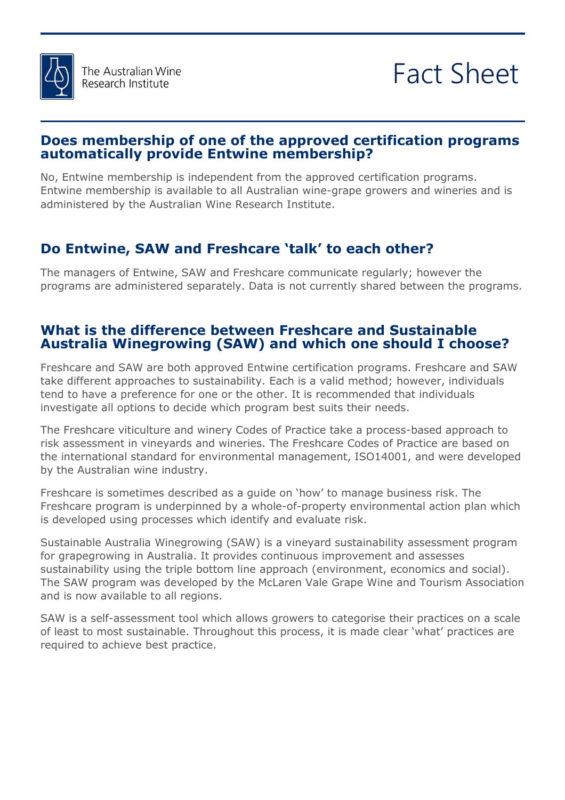

#### **Does membership of one of the approved certification programs automatically provide Entwine membership?**

No, Entwine membership is independent from the approved certification programs. Entwine membership is available to all Australian wine-grape growers and wineries and is administered by the Australian Wine Research Institute.

### **Do Entwine, SAW and Freshcare 'talk' to each other?**

The managers of Entwine, SAW and Freshcare communicate regularly; however the programs are administered separately. Data is not currently shared between the programs.

## Please find **Australia Winegrowing (SAW) and which one should I choose? What is the difference between Freshcare and Sustainable**

take different approaches to sustainability. Each is a valid method; however, individuals<br>tend to have a preference for one or the other. It is recommended that individuals Freshcare and SAW are both approved Entwine certification programs. Freshcare and SAW tend to have a preference for one or the other. It is recommended that individuals investigate all options to decide which program best suits their needs.

Interaligence an options to acclear inneri program secocities and include.<br>The Freshcare viticulture and winery Codes of Practice take a process-based approach to the international standard for environmental management, ISO14001, and were developed<br>by the Australian wine industry. risk assessment in vineyards and wineries. The Freshcare Codes of Practice are based on by the Australian wine industry.

Freshcare is sometimes described as a guide on `how' to manage business risk. The<br>Freshcare program is underpinned by a whole-of-property environmental action plan which Freshcare is sometimes described as a guide on 'how' to manage business risk. The is developed using processes which identify and evaluate risk.

Sustainable Australia Winegrowing (SAW) is a vineyard sustainability assessment program sustainability using the triple bottom line approach (environment, economics and social).<br>The SAW program was developed by the McLaren Vale Grape Wine and Tourism Association for grapegrowing in Australia. It provides continuous improvement and assesses sustainability using the triple bottom line approach (environment, economics and social). and is now available to all regions.

SAW is a self-assessment tool which allows growers to categorise their practices on a scale of least to most sustainable. Throughout this process, it is made clear 'what' practices are required to achieve best practice.